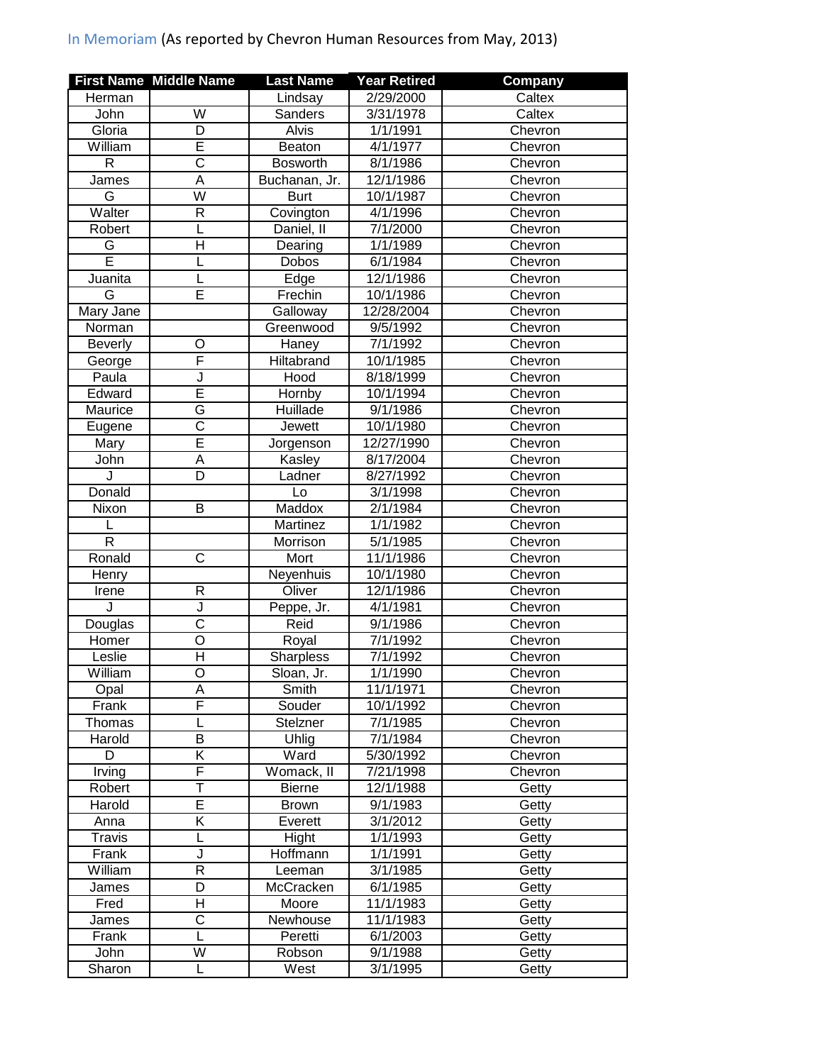## In Memoriam (As reported by Chevron Human Resources from May, 2013)

|                | <b>First Name Middle Name</b> | <b>Last Name</b> | <b>Year Retired</b>   | <b>Company</b> |
|----------------|-------------------------------|------------------|-----------------------|----------------|
| Herman         |                               | Lindsay          | 2/29/2000             | Caltex         |
| John           | W                             | Sanders          | 3/31/1978             | Caltex         |
| Gloria         | D                             | Alvis            | 1/1/1991              | Chevron        |
| William        | E                             | Beaton           | 4/1/1977              | Chevron        |
| $\mathsf{R}$   | $\overline{\mathsf{C}}$       | <b>Bosworth</b>  | 8/1/1986              | Chevron        |
| James          | A                             | Buchanan, Jr.    | 12/1/1986             | Chevron        |
| G              | $\overline{\mathsf{W}}$       | <b>Burt</b>      | 10/1/1987             | Chevron        |
| Walter         | $\mathsf{R}$                  | Covington        | 4/1/1996              | Chevron        |
| Robert         | L                             | Daniel, II       | 7/1/2000              | Chevron        |
| G              | H                             | Dearing          | 1/1/1989              | Chevron        |
| Ē              | L                             | Dobos            | 6/1/1984              | Chevron        |
| Juanita        |                               | Edge             | 12/1/1986             | Chevron        |
| G              | E                             | Frechin          | 10/1/1986             | Chevron        |
| Mary Jane      |                               | Galloway         | 12/28/2004            | Chevron        |
| Norman         |                               | Greenwood        | 9/5/1992              | Chevron        |
| <b>Beverly</b> | O                             | Haney            | 7/1/1992              | Chevron        |
| George         | F                             | Hiltabrand       | 10/1/1985             | Chevron        |
| Paula          | J                             | Hood             | 8/18/1999             | Chevron        |
| Edward         | Ē                             | Hornby           | 10/1/1994             | Chevron        |
| Maurice        | G                             | Huillade         | 9/1/1986              | Chevron        |
| Eugene         | $\overline{\text{c}}$         | <b>Jewett</b>    | 10/1/1980             | Chevron        |
| Mary           | Ē                             | Jorgenson        | 12/27/1990            | Chevron        |
| John           | A                             | Kasley           | 8/17/2004             | Chevron        |
| J              | D                             | Ladner           | 8/27/1992             | Chevron        |
| Donald         |                               | Lo               | 3/1/1998              | Chevron        |
| Nixon          | B                             | Maddox           | 2/1/1984              | Chevron        |
|                |                               | Martinez         | 1/1/1982              | Chevron        |
| R              |                               | Morrison         | 5/1/1985              | Chevron        |
| Ronald         | $\mathsf{C}$                  | Mort             | 11/1/1986             | Chevron        |
| Henry          |                               | Neyenhuis        | 10/1/1980             | Chevron        |
| Irene          | $\mathsf{R}$                  | Oliver           | 12/1/1986             | Chevron        |
| J              | J                             | Peppe, Jr.       | 4/1/1981              | Chevron        |
| Douglas        | $\overline{\text{c}}$         | Reid             | 9/1/1986              | Chevron        |
| Homer          | $\overline{O}$                | Royal            | 7/1/1992              | Chevron        |
| Leslie         | $\overline{\mathsf{H}}$       | Sharpless        | 7/1/1992              | Chevron        |
| William        | $\overline{\circ}$            | Sloan, Jr.       | $1/\overline{1/1990}$ | Chevron        |
| Opal           | A                             | Smith            | 11/1/1971             | Chevron        |
| Frank          | F                             | Souder           | 10/1/1992             | Chevron        |
| Thomas         |                               | Stelzner         | 7/1/1985              | Chevron        |
| Harold         | В                             | Uhlig            | 7/1/1984              | Chevron        |
| D              | Κ                             | Ward             | 5/30/1992             | Chevron        |
| Irving         | F                             | Womack, II       | 7/21/1998             | Chevron        |
| Robert         | T                             | <b>Bierne</b>    | 12/1/1988             | Getty          |
| Harold         | E                             | <b>Brown</b>     | 9/1/1983              | Getty          |
| Anna           | $\overline{\mathsf{K}}$       | Everett          | 3/1/2012              | Getty          |
| <b>Travis</b>  |                               | Hight            | 1/1/1993              | Getty          |
| Frank          | J                             | Hoffmann         | 1/1/1991              | Getty          |
| William        | $\overline{R}$                | Leeman           | 3/1/1985              | Getty          |
| James          | D                             | McCracken        | 6/1/1985              | Getty          |
| Fred           | Η                             | Moore            | 11/1/1983             | Getty          |
| James          | C                             | Newhouse         | 11/1/1983             | Getty          |
| Frank          | L                             | Peretti          | 6/1/2003              | Getty          |
| John           | W                             | Robson           | 9/1/1988              | Getty          |
| Sharon         | L                             | West             | 3/1/1995              | Getty          |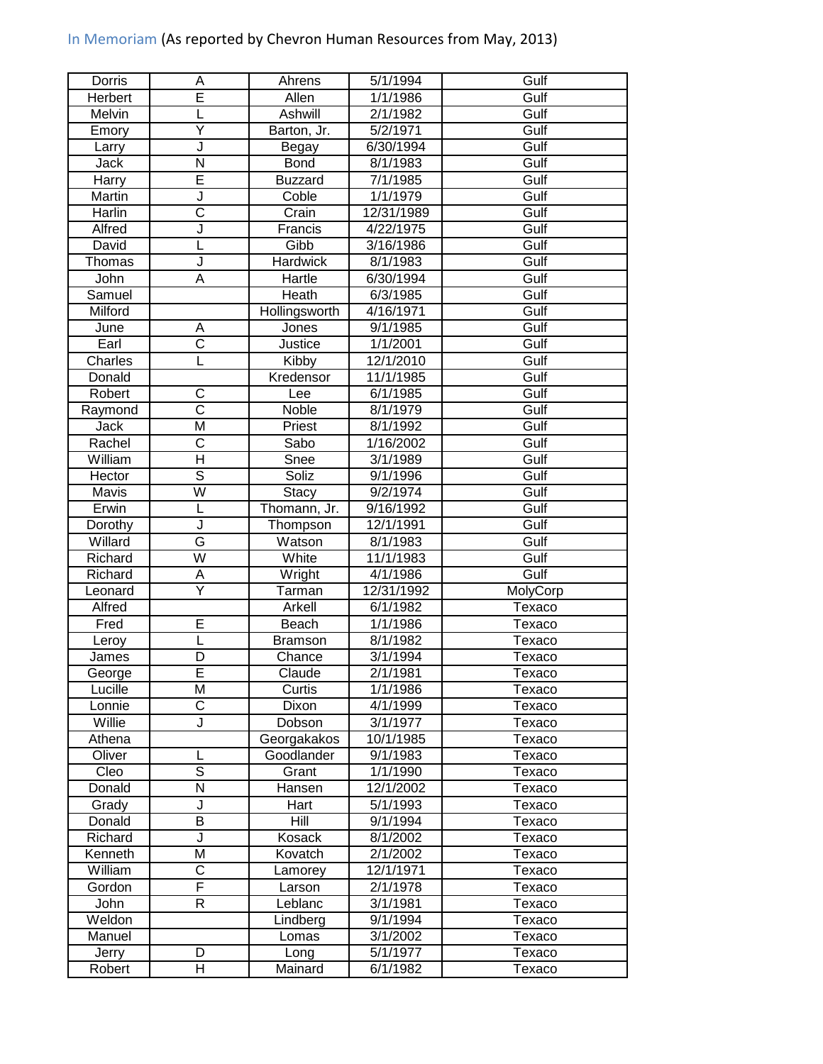## In Memoriam (As reported by Chevron Human Resources from May, 2013)

| Dorris  | Α                       | Ahrens         | 5/1/1994   | Gulf     |
|---------|-------------------------|----------------|------------|----------|
| Herbert | Ē                       | Allen          | 1/1/1986   | Gulf     |
| Melvin  |                         | Ashwill        | 2/1/1982   | Gulf     |
| Emory   | Ÿ                       | Barton, Jr.    | 5/2/1971   | Gulf     |
| Larry   | J                       | Begay          | 6/30/1994  | Gulf     |
| Jack    | $\overline{\mathsf{N}}$ | <b>Bond</b>    | 8/1/1983   | Gulf     |
| Harry   | Ē                       | <b>Buzzard</b> | 7/1/1985   | Gulf     |
| Martin  | J                       | Coble          | 1/1/1979   | Gulf     |
| Harlin  | $\overline{\text{c}}$   | Crain          | 12/31/1989 | Gulf     |
| Alfred  | J                       | Francis        | 4/22/1975  | Gulf     |
| David   | L                       | Gibb           | 3/16/1986  | Gulf     |
| Thomas  | J                       | Hardwick       | 8/1/1983   | Gulf     |
| John    | A                       | Hartle         | 6/30/1994  | Gulf     |
| Samuel  |                         | Heath          | 6/3/1985   | Gulf     |
| Milford |                         | Hollingsworth  | 4/16/1971  | Gulf     |
| June    | A                       | Jones          | 9/1/1985   | Gulf     |
| Earl    | $\overline{\text{c}}$   | <b>Justice</b> | 1/1/2001   | Gulf     |
| Charles | L                       | Kibby          | 12/1/2010  | Gulf     |
| Donald  |                         | Kredensor      | 11/1/1985  | Gulf     |
| Robert  | C                       | Lee            | 6/1/1985   | Gulf     |
| Raymond | $\overline{\text{c}}$   | Noble          | 8/1/1979   | Gulf     |
| Jack    | $\overline{\mathsf{M}}$ | Priest         | 8/1/1992   | Gulf     |
| Rachel  | $\overline{\text{c}}$   | Sabo           | 1/16/2002  | Gulf     |
| William | $\overline{\mathsf{H}}$ | Snee           | 3/1/1989   | Gulf     |
| Hector  | $\overline{\mathsf{s}}$ | Soliz          | 9/1/1996   | Gulf     |
| Mavis   | $\overline{\mathsf{W}}$ | <b>Stacy</b>   | 9/2/1974   | Gulf     |
| Erwin   | L                       | Thomann, Jr.   | 9/16/1992  | Gulf     |
| Dorothy | J                       | Thompson       | 12/1/1991  | Gulf     |
| Willard | G                       | Watson         | 8/1/1983   | Gulf     |
| Richard | $\overline{\mathsf{W}}$ | White          | 11/1/1983  | Gulf     |
| Richard | A                       | Wright         | 4/1/1986   | Gulf     |
| Leonard | Ÿ                       | Tarman         | 12/31/1992 | MolyCorp |
| Alfred  |                         | Arkell         | 6/1/1982   | Texaco   |
| Fred    | E                       | Beach          | 1/1/1986   | Texaco   |
| Leroy   | L                       | <b>Bramson</b> | 8/1/1982   | Texaco   |
| James   | D                       | Chance         | 3/1/1994   | Texaco   |
| George  | F                       | Claude         | 2/1/1981   | Texaco   |
| Lucille | M                       | Curtis         | 1/1/1986   | Texaco   |
| Lonnie  | C                       | Dixon          | 4/1/1999   | Texaco   |
| Willie  | J                       | Dobson         | 3/1/1977   | Texaco   |
| Athena  |                         | Georgakakos    | 10/1/1985  | Texaco   |
| Oliver  |                         | Goodlander     | 9/1/1983   | Texaco   |
| Cleo    | ड                       | Grant          | 1/1/1990   | Texaco   |
| Donald  | N                       | Hansen         | 12/1/2002  | Texaco   |
| Grady   | J                       | Hart           | 5/1/1993   | Texaco   |
| Donald  | $\overline{\mathsf{B}}$ | Hill           | 9/1/1994   | Texaco   |
| Richard | J                       | Kosack         | 8/1/2002   | Texaco   |
| Kenneth | $\overline{\mathsf{M}}$ | Kovatch        | 2/1/2002   | Texaco   |
| William | $\overline{\rm C}$      | Lamorey        | 12/1/1971  | Texaco   |
| Gordon  | F                       | Larson         | 2/1/1978   | Texaco   |
| John    | R                       | Leblanc        | 3/1/1981   | Texaco   |
| Weldon  |                         | Lindberg       | 9/1/1994   | Texaco   |
| Manuel  |                         | Lomas          | 3/1/2002   | Texaco   |
| Jerry   | D                       | Long           | 5/1/1977   | Texaco   |
| Robert  | Н                       | Mainard        | 6/1/1982   | Texaco   |